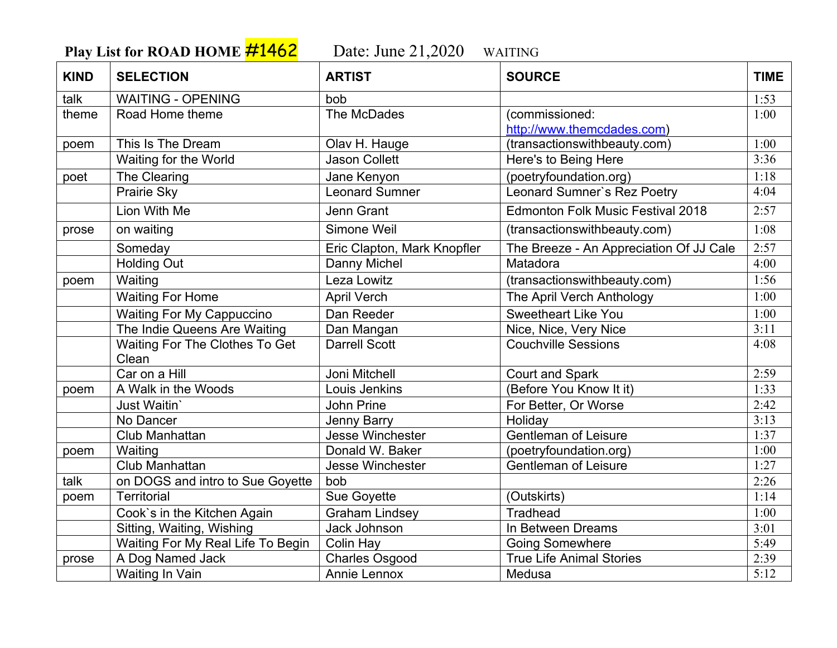**Play List for ROAD HOME**  $\frac{\#1462}{\#12020}$  Date: June 21,2020 WAITING

| <b>KIND</b> | <b>SELECTION</b>                  | <b>ARTIST</b>               | <b>SOURCE</b>                            | <b>TIME</b> |
|-------------|-----------------------------------|-----------------------------|------------------------------------------|-------------|
| talk        | <b>WAITING - OPENING</b>          | bob                         |                                          | 1:53        |
| theme       | Road Home theme                   | The McDades                 | (commissioned:                           | 1:00        |
|             |                                   |                             | http://www.themcdades.com)               |             |
| poem        | This Is The Dream                 | Olav H. Hauge               | (transactionswithbeauty.com)             | 1:00        |
|             | Waiting for the World             | <b>Jason Collett</b>        | Here's to Being Here                     | 3:36        |
| poet        | The Clearing                      | Jane Kenyon                 | (poetryfoundation.org)                   | 1:18        |
|             | Prairie Sky                       | <b>Leonard Sumner</b>       | Leonard Sumner's Rez Poetry              | 4:04        |
|             | Lion With Me                      | <b>Jenn Grant</b>           | <b>Edmonton Folk Music Festival 2018</b> | 2:57        |
| prose       | on waiting                        | Simone Weil                 | (transactionswithbeauty.com)             | 1:08        |
|             | Someday                           | Eric Clapton, Mark Knopfler | The Breeze - An Appreciation Of JJ Cale  | 2:57        |
|             | <b>Holding Out</b>                | Danny Michel                | Matadora                                 | 4:00        |
| poem        | Waiting                           | Leza Lowitz                 | (transactionswithbeauty.com)             | 1:56        |
|             | <b>Waiting For Home</b>           | <b>April Verch</b>          | The April Verch Anthology                | 1:00        |
|             | <b>Waiting For My Cappuccino</b>  | Dan Reeder                  | <b>Sweetheart Like You</b>               | 1:00        |
|             | The Indie Queens Are Waiting      | Dan Mangan                  | Nice, Nice, Very Nice                    | 3:11        |
|             | Waiting For The Clothes To Get    | <b>Darrell Scott</b>        | <b>Couchville Sessions</b>               | 4:08        |
|             | Clean                             |                             |                                          |             |
|             | Car on a Hill                     | Joni Mitchell               | <b>Court and Spark</b>                   | 2:59        |
| poem        | A Walk in the Woods               | Louis Jenkins               | (Before You Know It it)                  | 1:33        |
|             | Just Waitin'                      | John Prine                  | For Better, Or Worse                     | 2:42        |
|             | No Dancer                         | Jenny Barry                 | Holiday                                  | 3:13        |
|             | Club Manhattan                    | <b>Jesse Winchester</b>     | <b>Gentleman of Leisure</b>              | 1:37        |
| poem        | Waiting                           | Donald W. Baker             | (poetryfoundation.org)                   | 1:00        |
|             | Club Manhattan                    | Jesse Winchester            | <b>Gentleman of Leisure</b>              | 1:27        |
| talk        | on DOGS and intro to Sue Goyette  | bob                         |                                          | 2:26        |
| poem        | <b>Territorial</b>                | Sue Goyette                 | (Outskirts)                              | 1:14        |
|             | Cook's in the Kitchen Again       | <b>Graham Lindsey</b>       | <b>Tradhead</b>                          | 1:00        |
|             | Sitting, Waiting, Wishing         | Jack Johnson                | In Between Dreams                        | 3:01        |
|             | Waiting For My Real Life To Begin | Colin Hay                   | <b>Going Somewhere</b>                   | 5:49        |
| prose       | A Dog Named Jack                  | <b>Charles Osgood</b>       | <b>True Life Animal Stories</b>          | 2:39        |
|             | Waiting In Vain                   | Annie Lennox                | Medusa                                   | 5:12        |